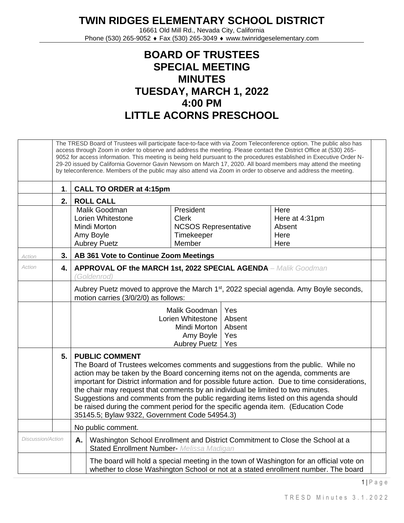**TWIN RIDGES ELEMENTARY SCHOOL DISTRICT**

16661 Old Mill Rd., Nevada City, California Phone (530) 265-9052 ♦ Fax (530) 265-3049 ♦ www.twinridgeselementary.com

## **BOARD OF TRUSTEES SPECIAL MEETING MINUTES TUESDAY, MARCH 1, 2022 4:00 PM LITTLE ACORNS PRESCHOOL**

|                   | The TRESD Board of Trustees will participate face-to-face with via Zoom Teleconference option. The public also has<br>access through Zoom in order to observe and address the meeting. Please contact the District Office at (530) 265-<br>9052 for access information. This meeting is being held pursuant to the procedures established in Executive Order N-<br>29-20 issued by California Governor Gavin Newsom on March 17, 2020. All board members may attend the meeting<br>by teleconference. Members of the public may also attend via Zoom in order to observe and address the meeting. |                                                                                                                                                                                                                                                                                                                                                                                                                                                                                                                                                                                                                     |  |  |  |  |
|-------------------|---------------------------------------------------------------------------------------------------------------------------------------------------------------------------------------------------------------------------------------------------------------------------------------------------------------------------------------------------------------------------------------------------------------------------------------------------------------------------------------------------------------------------------------------------------------------------------------------------|---------------------------------------------------------------------------------------------------------------------------------------------------------------------------------------------------------------------------------------------------------------------------------------------------------------------------------------------------------------------------------------------------------------------------------------------------------------------------------------------------------------------------------------------------------------------------------------------------------------------|--|--|--|--|
|                   | $\mathbf 1$ .                                                                                                                                                                                                                                                                                                                                                                                                                                                                                                                                                                                     | <b>CALL TO ORDER at 4:15pm</b>                                                                                                                                                                                                                                                                                                                                                                                                                                                                                                                                                                                      |  |  |  |  |
|                   | 2.                                                                                                                                                                                                                                                                                                                                                                                                                                                                                                                                                                                                | <b>ROLL CALL</b>                                                                                                                                                                                                                                                                                                                                                                                                                                                                                                                                                                                                    |  |  |  |  |
|                   |                                                                                                                                                                                                                                                                                                                                                                                                                                                                                                                                                                                                   | Malik Goodman<br>President<br>Here<br>Lorien Whitestone<br><b>Clerk</b><br>Here at 4:31pm<br><b>NCSOS Representative</b><br>Absent<br>Mindi Morton<br>Amy Boyle<br>Timekeeper<br>Here<br>Member<br><b>Aubrey Puetz</b><br>Here                                                                                                                                                                                                                                                                                                                                                                                      |  |  |  |  |
| Action            | 3.                                                                                                                                                                                                                                                                                                                                                                                                                                                                                                                                                                                                | AB 361 Vote to Continue Zoom Meetings                                                                                                                                                                                                                                                                                                                                                                                                                                                                                                                                                                               |  |  |  |  |
| Action            | 4.                                                                                                                                                                                                                                                                                                                                                                                                                                                                                                                                                                                                | <b>APPROVAL OF the MARCH 1st, 2022 SPECIAL AGENDA</b> - Malik Goodman<br>(Goldenrod)                                                                                                                                                                                                                                                                                                                                                                                                                                                                                                                                |  |  |  |  |
|                   |                                                                                                                                                                                                                                                                                                                                                                                                                                                                                                                                                                                                   | Aubrey Puetz moved to approve the March 1 <sup>st</sup> , 2022 special agenda. Amy Boyle seconds,<br>motion carries (3/0/2/0) as follows:                                                                                                                                                                                                                                                                                                                                                                                                                                                                           |  |  |  |  |
|                   |                                                                                                                                                                                                                                                                                                                                                                                                                                                                                                                                                                                                   | Yes<br>Malik Goodman<br>Absent<br>Lorien Whitestone<br>Absent<br>Mindi Morton<br>Amy Boyle<br>Yes<br><b>Aubrey Puetz</b><br>Yes                                                                                                                                                                                                                                                                                                                                                                                                                                                                                     |  |  |  |  |
|                   | 5.                                                                                                                                                                                                                                                                                                                                                                                                                                                                                                                                                                                                | <b>PUBLIC COMMENT</b><br>The Board of Trustees welcomes comments and suggestions from the public. While no<br>action may be taken by the Board concerning items not on the agenda, comments are<br>important for District information and for possible future action. Due to time considerations,<br>the chair may request that comments by an individual be limited to two minutes.<br>Suggestions and comments from the public regarding items listed on this agenda should<br>be raised during the comment period for the specific agenda item. (Education Code<br>35145.5; Bylaw 9322, Government Code 54954.3) |  |  |  |  |
|                   |                                                                                                                                                                                                                                                                                                                                                                                                                                                                                                                                                                                                   | No public comment.                                                                                                                                                                                                                                                                                                                                                                                                                                                                                                                                                                                                  |  |  |  |  |
| Discussion/Action |                                                                                                                                                                                                                                                                                                                                                                                                                                                                                                                                                                                                   | Α.<br>Washington School Enrollment and District Commitment to Close the School at a<br><b>Stated Enrollment Number- Melissa Madigan</b>                                                                                                                                                                                                                                                                                                                                                                                                                                                                             |  |  |  |  |
|                   |                                                                                                                                                                                                                                                                                                                                                                                                                                                                                                                                                                                                   | The board will hold a special meeting in the town of Washington for an official vote on<br>whether to close Washington School or not at a stated enrollment number. The board                                                                                                                                                                                                                                                                                                                                                                                                                                       |  |  |  |  |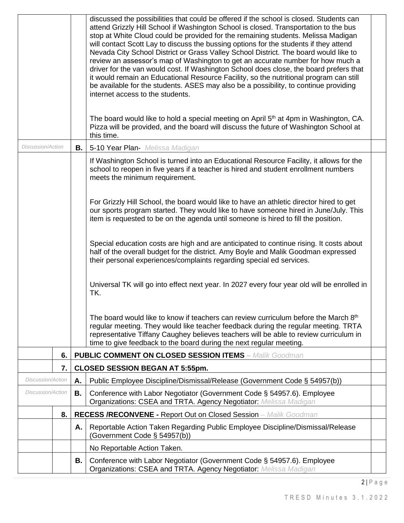|                          |                                                                                                                                                  |    | discussed the possibilities that could be offered if the school is closed. Students can<br>attend Grizzly Hill School if Washington School is closed. Transportation to the bus<br>stop at White Cloud could be provided for the remaining students. Melissa Madigan<br>will contact Scott Lay to discuss the bussing options for the students if they attend<br>Nevada City School District or Grass Valley School District. The board would like to<br>review an assessor's map of Washington to get an accurate number for how much a<br>driver for the van would cost. If Washington School does close, the board prefers that<br>it would remain an Educational Resource Facility, so the nutritional program can still<br>be available for the students. ASES may also be a possibility, to continue providing<br>internet access to the students.<br>The board would like to hold a special meeting on April 5 <sup>th</sup> at 4pm in Washington, CA.<br>Pizza will be provided, and the board will discuss the future of Washington School at<br>this time. |  |
|--------------------------|--------------------------------------------------------------------------------------------------------------------------------------------------|----|----------------------------------------------------------------------------------------------------------------------------------------------------------------------------------------------------------------------------------------------------------------------------------------------------------------------------------------------------------------------------------------------------------------------------------------------------------------------------------------------------------------------------------------------------------------------------------------------------------------------------------------------------------------------------------------------------------------------------------------------------------------------------------------------------------------------------------------------------------------------------------------------------------------------------------------------------------------------------------------------------------------------------------------------------------------------|--|
| <b>Discussion/Action</b> |                                                                                                                                                  | В. | 5-10 Year Plan- Melissa Madigan                                                                                                                                                                                                                                                                                                                                                                                                                                                                                                                                                                                                                                                                                                                                                                                                                                                                                                                                                                                                                                      |  |
|                          |                                                                                                                                                  |    | If Washington School is turned into an Educational Resource Facility, it allows for the<br>school to reopen in five years if a teacher is hired and student enrollment numbers<br>meets the minimum requirement.                                                                                                                                                                                                                                                                                                                                                                                                                                                                                                                                                                                                                                                                                                                                                                                                                                                     |  |
|                          |                                                                                                                                                  |    | For Grizzly Hill School, the board would like to have an athletic director hired to get<br>our sports program started. They would like to have someone hired in June/July. This<br>item is requested to be on the agenda until someone is hired to fill the position.                                                                                                                                                                                                                                                                                                                                                                                                                                                                                                                                                                                                                                                                                                                                                                                                |  |
|                          |                                                                                                                                                  |    | Special education costs are high and are anticipated to continue rising. It costs about<br>half of the overall budget for the district. Amy Boyle and Malik Goodman expressed<br>their personal experiences/complaints regarding special ed services.                                                                                                                                                                                                                                                                                                                                                                                                                                                                                                                                                                                                                                                                                                                                                                                                                |  |
|                          |                                                                                                                                                  |    | Universal TK will go into effect next year. In 2027 every four year old will be enrolled in<br>TK.                                                                                                                                                                                                                                                                                                                                                                                                                                                                                                                                                                                                                                                                                                                                                                                                                                                                                                                                                                   |  |
|                          |                                                                                                                                                  |    | The board would like to know if teachers can review curriculum before the March 8 <sup>th</sup><br>regular meeting. They would like teacher feedback during the regular meeting. TRTA<br>representative Tiffany Caughey believes teachers will be able to review curriculum in<br>time to give feedback to the board during the next regular meeting.                                                                                                                                                                                                                                                                                                                                                                                                                                                                                                                                                                                                                                                                                                                |  |
|                          | 6.                                                                                                                                               |    | <b>PUBLIC COMMENT ON CLOSED SESSION ITEMS - Malik Goodman</b>                                                                                                                                                                                                                                                                                                                                                                                                                                                                                                                                                                                                                                                                                                                                                                                                                                                                                                                                                                                                        |  |
|                          | 7.                                                                                                                                               |    | <b>CLOSED SESSION BEGAN AT 5:55pm.</b>                                                                                                                                                                                                                                                                                                                                                                                                                                                                                                                                                                                                                                                                                                                                                                                                                                                                                                                                                                                                                               |  |
| Discussion/Action        |                                                                                                                                                  | Α. | Public Employee Discipline/Dismissal/Release (Government Code § 54957(b))                                                                                                                                                                                                                                                                                                                                                                                                                                                                                                                                                                                                                                                                                                                                                                                                                                                                                                                                                                                            |  |
| <b>Discussion/Action</b> |                                                                                                                                                  | В. | Conference with Labor Negotiator (Government Code § 54957.6). Employee<br>Organizations: CSEA and TRTA. Agency Negotiator: Melissa Madigan                                                                                                                                                                                                                                                                                                                                                                                                                                                                                                                                                                                                                                                                                                                                                                                                                                                                                                                           |  |
|                          | 8.                                                                                                                                               |    | <b>RECESS /RECONVENE - Report Out on Closed Session - Malik Goodman</b>                                                                                                                                                                                                                                                                                                                                                                                                                                                                                                                                                                                                                                                                                                                                                                                                                                                                                                                                                                                              |  |
|                          |                                                                                                                                                  | Α. | Reportable Action Taken Regarding Public Employee Discipline/Dismissal/Release<br>(Government Code § 54957(b))                                                                                                                                                                                                                                                                                                                                                                                                                                                                                                                                                                                                                                                                                                                                                                                                                                                                                                                                                       |  |
|                          | No Reportable Action Taken.                                                                                                                      |    |                                                                                                                                                                                                                                                                                                                                                                                                                                                                                                                                                                                                                                                                                                                                                                                                                                                                                                                                                                                                                                                                      |  |
|                          | Conference with Labor Negotiator (Government Code § 54957.6). Employee<br>В.<br>Organizations: CSEA and TRTA. Agency Negotiator: Melissa Madigan |    |                                                                                                                                                                                                                                                                                                                                                                                                                                                                                                                                                                                                                                                                                                                                                                                                                                                                                                                                                                                                                                                                      |  |

2 | P a g e